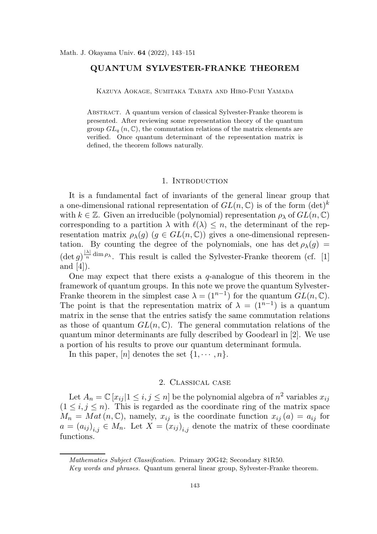## QUANTUM SYLVESTER-FRANKE THEOREM

Kazuya Aokage, Sumitaka Tabata and Hiro-Fumi Yamada

Abstract. A quantum version of classical Sylvester-Franke theorem is presented. After reviewing some representation theory of the quantum group  $GL_q(n,\mathbb{C})$ , the commutation relations of the matrix elements are verified. Once quantum determinant of the representation matrix is defined, the theorem follows naturally.

#### 1. INTRODUCTION

It is a fundamental fact of invariants of the general linear group that a one-dimensional rational representation of  $GL(n,\mathbb{C})$  is of the form  $(\det)^k$ with  $k \in \mathbb{Z}$ . Given an irreducible (polynomial) representation  $\rho_{\lambda}$  of  $GL(n, \mathbb{C})$ corresponding to a partition  $\lambda$  with  $\ell(\lambda) \leq n$ , the determinant of the representation matrix  $\rho_{\lambda}(g)$   $(g \in GL(n, \mathbb{C}))$  gives a one-dimensional representation. By counting the degree of the polynomials, one has det  $\rho_{\lambda}(g)$  =  $(\det g)^{\frac{|\lambda|}{n}}$  $\frac{\lambda_1}{n}$  dim  $\rho_{\lambda}$ . This result is called the Sylvester-Franke theorem (cf. [1] and [4]).

One may expect that there exists a  $q$ -analogue of this theorem in the framework of quantum groups. In this note we prove the quantum Sylvester-Franke theorem in the simplest case  $\lambda = (1^{n-1})$  for the quantum  $GL(n, \mathbb{C})$ . The point is that the representation matrix of  $\lambda = (1^{n-1})$  is a quantum matrix in the sense that the entries satisfy the same commutation relations as those of quantum  $GL(n,\mathbb{C})$ . The general commutation relations of the quantum minor determinants are fully described by Goodearl in [2]. We use a portion of his results to prove our quantum determinant formula.

In this paper,  $[n]$  denotes the set  $\{1, \dots, n\}$ .

#### 2. Classical case

Let  $A_n = \mathbb{C} [x_{ij} | 1 \le i, j \le n]$  be the polynomial algebra of  $n^2$  variables  $x_{ij}$  $(1 \leq i, j \leq n)$ . This is regarded as the coordinate ring of the matrix space  $M_n = Mat(n, \mathbb{C})$ , namely,  $x_{ij}$  is the coordinate function  $x_{ij}(a) = a_{ij}$  for  $a = (a_{ij})_{i,j} \in M_n$ . Let  $X = (x_{ij})_{i,j}$  denote the matrix of these coordinate functions.

Mathematics Subject Classification. Primary 20G42; Secondary 81R50.

Key words and phrases. Quantum general linear group, Sylvester-Franke theorem.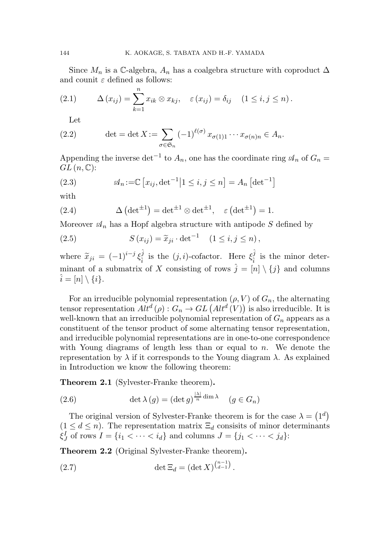Since  $M_n$  is a C-algebra,  $A_n$  has a coalgebra structure with coproduct  $\Delta$ and counit  $\varepsilon$  defined as follows:

(2.1) 
$$
\Delta(x_{ij}) = \sum_{k=1}^{n} x_{ik} \otimes x_{kj}, \quad \varepsilon(x_{ij}) = \delta_{ij} \quad (1 \le i, j \le n).
$$

Let

(2.2) 
$$
\det = \det X := \sum_{\sigma \in \mathfrak{S}_n} (-1)^{\ell(\sigma)} x_{\sigma(1)1} \cdots x_{\sigma(n)n} \in A_n.
$$

Appending the inverse det<sup>-1</sup> to  $A_n$ , one has the coordinate ring  $\mathscr{A}_n$  of  $G_n =$  $GL(n,\mathbb{C})$ :

(2.3) 
$$
\mathcal{A}_n := \mathbb{C} \left[ x_{ij}, \det^{-1} | 1 \le i, j \le n \right] = A_n \left[ \det^{-1} \right]
$$

with

(2.4) 
$$
\Delta \left( \det^{\pm 1} \right) = \det^{\pm 1} \otimes \det^{\pm 1}, \quad \varepsilon \left( \det^{\pm 1} \right) = 1.
$$

Moreover  $\mathcal{A}_n$  has a Hopf algebra structure with antipode S defined by

(2.5) 
$$
S(x_{ij}) = \tilde{x}_{ji} \cdot \det^{-1} \quad (1 \le i, j \le n),
$$

where  $\widetilde{x}_{ji} = (-1)^{i-j} \xi_i^{\hat{j}}$  $\hat{i}$  is the  $(j, i)$ -cofactor. Here  $\xi_i^{\hat{j}}$  $\frac{J}{i}$  is the minor determinant of a submatrix of X consisting of rows  $\hat{j} = [n] \setminus \{j\}$  and columns  $\hat{i} = [n] \setminus \{i\}.$ 

For an irreducible polynomial representation  $(\rho, V)$  of  $G_n$ , the alternating tensor representation  $Alt^d(\rho) : G_n \to GL\left( Alt^d(V)\right)$  is also irreducible. It is well-known that an irreducible polynomial representation of  $G_n$  appears as a constituent of the tensor product of some alternating tensor representation, and irreducible polynomial representations are in one-to-one correspondence with Young diagrams of length less than or equal to  $n$ . We denote the representation by  $\lambda$  if it corresponds to the Young diagram  $\lambda$ . As explained in Introduction we know the following theorem:

Theorem 2.1 (Sylvester-Franke theorem).

(2.6) 
$$
\det \lambda (g) = (\det g)^{\frac{|\lambda|}{n} \dim \lambda} \quad (g \in G_n)
$$

The original version of Sylvester-Franke theorem is for the case  $\lambda = (1^d)$  $(1 \leq d \leq n)$ . The representation matrix  $\Xi_d$  consisits of minor determinants  $\xi^I_J$  $J_J$  of rows  $I = \{i_1 < \cdots < i_d\}$  and columns  $J = \{j_1 < \cdots < j_d\}$ :

Theorem 2.2 (Original Sylvester-Franke theorem).

(2.7) 
$$
\det \Xi_d = (\det X)^{\binom{n-1}{d-1}}.
$$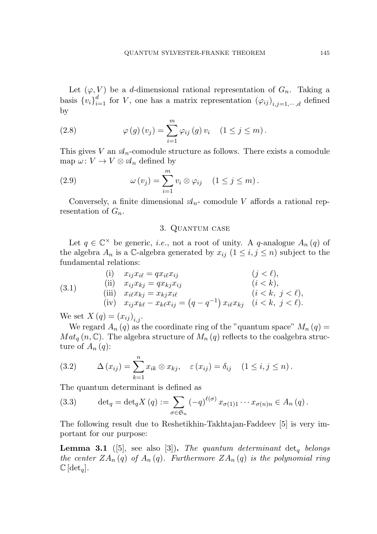Let  $(\varphi, V)$  be a d-dimensional rational representation of  $G_n$ . Taking a basis  ${v_i}_{i=1}^d$  for V, one has a matrix representation  ${(\varphi_{ij})}_{i,j=1,\dots,d}$  defined by

(2.8) 
$$
\varphi(g)(v_j) = \sum_{i=1}^m \varphi_{ij}(g) v_i \quad (1 \le j \le m).
$$

This gives V an  $\mathcal{A}_n$ -comodule structure as follows. There exists a comodule map  $\omega: V \to V \otimes \mathcal{A}_n$  defined by

(2.9) 
$$
\omega(v_j) = \sum_{i=1}^m v_i \otimes \varphi_{ij} \quad (1 \leq j \leq m).
$$

Conversely, a finite dimensional  $\mathcal{A}_n$ - comodule V affords a rational representation of  $G_n$ .

## 3. Quantum case

Let  $q \in \mathbb{C}^\times$  be generic, *i.e.*, not a root of unity. A q-analogue  $A_n(q)$  of the algebra  $A_n$  is a C-algebra generated by  $x_{ij}$   $(1 \leq i, j \leq n)$  subject to the fundamental relations:

(3.1) (i) 
$$
x_{ij}x_{i\ell} = qx_{i\ell}x_{ij}
$$
 (j <  $\ell$ ),  
\n(ii)  $x_{ij}x_{kj} = qx_{kj}x_{ij}$  (i <  $k$ ),  
\n(iii)  $x_{i\ell}x_{kj} = x_{kj}x_{i\ell}$  (i <  $k$ , j <  $\ell$ ),  
\n(iv)  $x_{ij}x_{k\ell} - x_{k\ell}x_{ij} = (q - q^{-1}) x_{i\ell}x_{kj}$  (i  $\ell$ , j <  $\ell$ ).

We set  $X(q) = (x_{ij})_{i,j}$ .

We regard  $A_n(q)$  as the coordinate ring of the "quantum space"  $M_n(q)$  =  $Mat_q(n,\mathbb{C})$ . The algebra structure of  $M_n(q)$  reflects to the coalgebra structure of  $A_n(q)$ :

(3.2) 
$$
\Delta(x_{ij}) = \sum_{k=1}^{n} x_{ik} \otimes x_{kj}, \quad \varepsilon(x_{ij}) = \delta_{ij} \quad (1 \le i, j \le n).
$$

The quantum determinant is defined as

(3.3) 
$$
\det_q = \det_q X(q) := \sum_{\sigma \in \mathfrak{S}_n} (-q)^{\ell(\sigma)} x_{\sigma(1)1} \cdots x_{\sigma(n)n} \in A_n(q).
$$

The following result due to Reshetikhin-Takhtajan-Faddeev [5] is very important for our purpose:

**Lemma 3.1** ([5], see also [3]). The quantum determinant det<sub>a</sub> belongs the center  $ZA_n(q)$  of  $A_n(q)$ . Furthermore  $ZA_n(q)$  is the polynomial ring  $\mathbb{C}[\det_a]$ .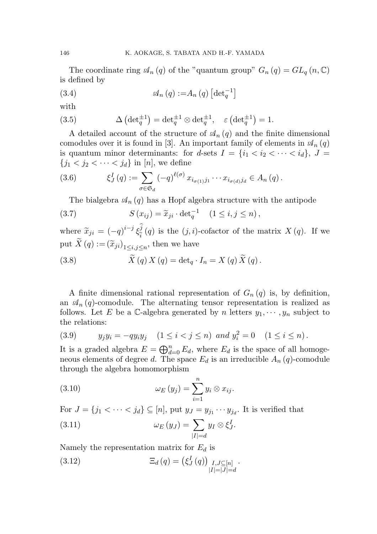The coordinate ring  $\mathcal{A}_n(q)$  of the "quantum group"  $G_n(q) = GL_q(n, \mathbb{C})$ is defined by

(3.4) 
$$
\mathcal{A}_n(q) := A_n(q) \left[ \det_q^{-1} \right]
$$

with

(3.5) 
$$
\Delta \left( \det_q^{\pm 1} \right) = \det_q^{\pm 1} \otimes \det_q^{\pm 1}, \quad \varepsilon \left( \det_q^{\pm 1} \right) = 1.
$$

A detailed account of the structure of  $\mathcal{A}_n(q)$  and the finite dimensional comodules over it is found in [3]. An important family of elements in  $\mathcal{A}_n(q)$ is quantum minor determinants: for d-sets  $I = \{i_1 < i_2 < \cdots < i_d\}, J =$  ${j_1 < j_2 < \cdots < j_d}$  in [n], we define

(3.6) 
$$
\xi_J^I(q) := \sum_{\sigma \in \mathfrak{S}_d} (-q)^{\ell(\sigma)} x_{i_{\sigma(1)}j_1} \cdots x_{i_{\sigma(d)}j_d} \in A_n(q).
$$

The bialgebra  $\mathcal{A}_n(q)$  has a Hopf algebra structure with the antipode

(3.7) 
$$
S(x_{ij}) = \widetilde{x}_{ji} \cdot \det_q^{-1} \quad (1 \le i, j \le n),
$$

where  $\widetilde{x}_{ji} = (-q)^{i-j} \xi_i^{\widehat{j}}$  $\frac{\partial^j}{\partial \hat{i}}(q)$  is the  $(j, i)$ -cofactor of the matrix  $X(q)$ . If we put  $X(q) := (\widetilde{x}_{ji})_{1 \le i,j \le n}$ , then we have

(3.8) 
$$
\widetilde{X}(q) X(q) = \det_q I_n = X(q) \widetilde{X}(q).
$$

A finite dimensional rational representation of  $G_n(q)$  is, by definition, an  $\mathcal{A}_n(q)$ -comodule. The alternating tensor representation is realized as follows. Let E be a C-algebra generated by n letters  $y_1, \dots, y_n$  subject to the relations:

(3.9) 
$$
y_j y_i = -q y_i y_j
$$
  $(1 \le i < j \le n)$  and  $y_i^2 = 0$   $(1 \le i \le n)$ .

It is a graded algebra  $E = \bigoplus_{d=0}^{n} E_d$ , where  $E_d$  is the space of all homogeneous elements of degree d. The space  $E_d$  is an irreducible  $A_n(q)$ -comodule through the algebra homomorphism

(3.10) 
$$
\omega_E(y_j) = \sum_{i=1}^n y_i \otimes x_{ij}.
$$

For  $J = \{j_1 < \cdots < j_d\} \subseteq [n]$ , put  $y_J = y_{j_1} \cdots y_{j_d}$ . It is verified that

(3.11) 
$$
\omega_E(y_J) = \sum_{|I|=d} y_I \otimes \xi_J^I.
$$

Namely the representation matrix for  $E_d$  is

(3.12) 
$$
\Xi_d(q) = (\xi_J^I(q))_{\substack{I,J \subseteq [n] \\ |I|=|J|=d}}.
$$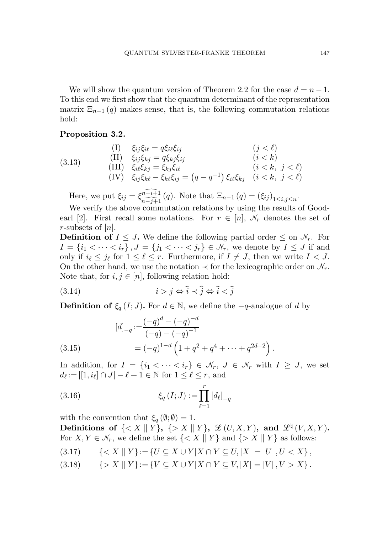We will show the quantum version of Theorem 2.2 for the case  $d = n - 1$ . To this end we first show that the quantum determinant of the representation matrix  $\Xi_{n-1}(q)$  makes sense, that is, the following commutation relations hold:

### Proposition 3.2.

(3.13) (I) 
$$
\xi_{ij}\xi_{i\ell} = q\xi_{i\ell}\xi_{ij}
$$
 (j <  $\ell$ )  
\n(3.13) (III)  $\xi_{ij}\xi_{kj} = q\xi_{kj}\xi_{ij}$  (i <  $k$ )  
\n(IV)  $\xi_{ij}\xi_{k\ell} - \xi_{k\ell}\xi_{ij} = (q - q^{-1})\xi_{i\ell}\xi_{kj}$  (i  $\langle k, j \langle \ell \rangle$ )

Here, we put  $\xi_{ij} = \xi_{\widehat{n-j+1}}^{\widehat{n-i+1}}(q)$ . Note that  $\Xi_{n-1} (q) = (\xi_{ij})_{1 \le i,j \le n}$ .

We verify the above commutation relations by using the results of Goodearl [2]. First recall some notations. For  $r \in [n]$ ,  $\mathcal{N}_r$  denotes the set of r-subsets of  $[n]$ .

**Definition of**  $I \leq J$ . We define the following partial order  $\leq$  on  $\mathcal{N}_r$ . For  $I = \{i_1 < \cdots < i_r\}, J = \{j_1 < \cdots < j_r\} \in \mathcal{N}_r$ , we denote by  $I \leq J$  if and only if  $i_{\ell} \leq j_{\ell}$  for  $1 \leq \ell \leq r$ . Furthermore, if  $I \neq J$ , then we write  $I < J$ . On the other hand, we use the notation  $\prec$  for the lexicographic order on  $\mathcal{N}_r$ . Note that, for  $i, j \in [n]$ , following relation hold:

$$
(3.14) \t\t i > j \Leftrightarrow \hat{i} < \hat{j} \Leftrightarrow \hat{i} < \hat{j}
$$

**Definition of**  $\xi_q(I; J)$ . For  $d \in \mathbb{N}$ , we define the  $-q$ -analogue of d by

(3.15) 
$$
[d]_{-q} := \frac{(-q)^d - (-q)^{-d}}{(-q) - (-q)^{-1}}
$$

$$
= (-q)^{1-d} \left(1 + q^2 + q^4 + \dots + q^{2d-2}\right).
$$

In addition, for  $I = \{i_1 < \cdots < i_r\} \in \mathcal{N}_r$ ,  $J \in \mathcal{N}_r$  with  $I \geq J$ , we set  $d_{\ell} := |[1, i_{\ell}] \cap J| - \ell + 1 \in \mathbb{N}$  for  $1 \leq \ell \leq r$ , and

(3.16) 
$$
\xi_q(I;J) := \prod_{\ell=1}^r [d_{\ell}]_{-q}
$$

with the convention that  $\xi_q(\emptyset;\emptyset) = 1$ . Definitions of  $\{< X \parallel Y\}$ ,  $\{> X \parallel Y\}$ ,  $\mathscr{L} (U, X, Y)$ , and  $\mathscr{L}^{\natural} (V, X, Y)$ . For  $X, Y \in \mathcal{N}_r$ , we define the set  $\{ \langle X \parallel Y \} \rangle$  and  $\{ \rangle X \parallel Y \}$  as follows:

$$
(3.17) \qquad \{ < X \parallel Y\} := \{ U \subseteq X \cup Y | X \cap Y \subseteq U, |X| = |U|, U < X \},
$$

(3.18)  $\{ > X \parallel Y \} := \{ V \subseteq X \cup Y | X \cap Y \subseteq V, |X| = |V|, V > X \}.$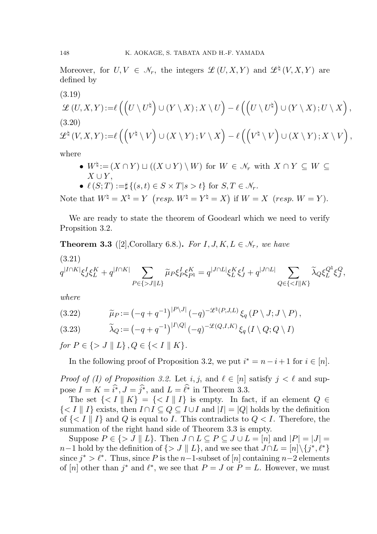Moreover, for  $U, V \in \mathcal{N}_r$ , the integers  $\mathcal{L}(U, X, Y)$  and  $\mathcal{L}^{\natural}(V, X, Y)$  are defined by

(3.19)  
\n
$$
\mathcal{L}(U,X,Y) := \ell\left( \left( U \setminus U^{\natural} \right) \cup (Y \setminus X) ; X \setminus U \right) - \ell\left( \left( U \setminus U^{\natural} \right) \cup (Y \setminus X) ; U \setminus X \right),
$$
\n(3.20)  
\n
$$
\mathcal{L}^{\natural}(V,X,Y) := \ell\left( \left( V^{\natural} \setminus V \right) \cup (X \setminus Y) ; V \setminus X \right) - \ell\left( \left( V^{\natural} \setminus V \right) \cup (X \setminus Y) ; X \setminus V \right),
$$

where

•  $W^{\natural} := (X \cap Y) \sqcup ((X \cup Y) \setminus W)$  for  $W \in \mathcal{N}_r$  with  $X \cap Y \subseteq W \subseteq$  $X \cup Y$ .

• 
$$
\ell(S;T) := \sharp \{(s,t) \in S \times T | s > t\}
$$
 for  $S, T \in \mathcal{N}_r$ .

Note that  $W^{\natural} = X^{\natural} = Y$   $(resp. W^{\natural} = Y^{\natural} = X)$  if  $W = X$   $(resp. W = Y)$ .

We are ready to state the theorem of Goodearl which we need to verify Propsition 3.2.

**Theorem 3.3** ([2], Corollary 6.8.). For  $I, J, K, L \in \mathcal{N}_r$ , we have

(3.21)  
\n
$$
q^{|I\cap K|}\xi J \xi_L^K + q^{|I\cap K|} \sum_{P \in \{>J||L\}} \widetilde{\mu}_P \xi_P^I \xi_{P^{\natural}}^K = q^{|J\cap L|} \xi_L^K \xi_J^I + q^{|J\cap L|} \sum_{Q \in \{
$$

where

(3.22) 
$$
\widetilde{\mu}_P := \left(-q + q^{-1}\right)^{|P \setminus J|} \left(-q\right)^{-\mathcal{L}^{\natural}(P,J,L)} \xi_q(P \setminus J; J \setminus P),
$$

(3.23) 
$$
\widetilde{\lambda}_Q := \left(-q + q^{-1}\right)^{|I \setminus Q|} \left(-q\right)^{-\mathcal{L}(Q, I, K)} \xi_q(I \setminus Q; Q \setminus I)
$$

for  $P \in \{ > J \parallel L \}$ ,  $Q \in \{ < I \parallel K \}$ .

In the following proof of Proposition 3.2, we put  $i^* = n - i + 1$  for  $i \in [n]$ .

*Proof of (I) of Proposition 3.2.* Let  $i, j$ , and  $\ell \in [n]$  satisfy  $j < \ell$  and suppose  $I = K = \hat{i}^*, \hat{J} = \hat{j}^*,$  and  $L = \hat{\ell}^*$  in Theorem 3.3.

The set  $\{ \langle I \parallel K \} = \{ \langle I \parallel I \} \rangle$  is empty. In fact, if an element  $Q \in$  $\{ \langle I \vert I \rangle \}$  exists, then  $I \cap I \subseteq Q \subseteq I \cup I$  and  $|I| = |Q|$  holds by the definition of  $\{ \langle I \rangle | I \}$  and Q is equal to I. This contradicts to  $Q \langle I$ . Therefore, the summation of the right hand side of Theorem 3.3 is empty.

Suppose  $P \in \{ > J \mid L \}$ . Then  $J \cap L \subseteq P \subseteq J \cup L = [n]$  and  $|P| = |J| =$  $n-1$  hold by the definition of  $\{ > J \parallel L \}$ , and we see that  $J \cap L = [n] \setminus \{j^*, \ell^* \}$ since  $j^* > \ell^*$ . Thus, since P is the n-1-subset of [n] containing n-2 elements of [n] other than  $j^*$  and  $\ell^*$ , we see that  $P = J$  or  $P = L$ . However, we must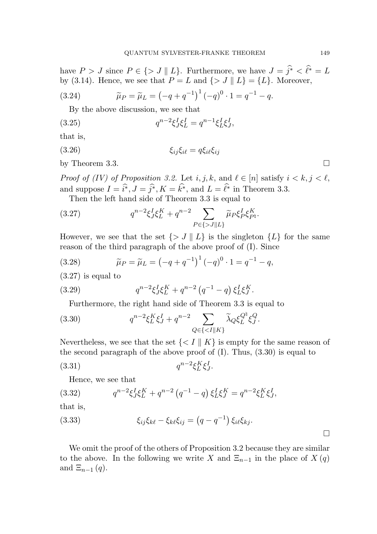have  $P > J$  since  $P \in \{ > J \mid L \}$ . Furthermore, we have  $J = \hat{j}^* < \hat{\ell}^* = L$ by (3.14). Hence, we see that  $P = L$  and  $\{ > J \mid L \} = \{ L \}$ . Moreover,

(3.24) 
$$
\widetilde{\mu}_P = \widetilde{\mu}_L = (-q + q^{-1})^1 (-q)^0 \cdot 1 = q^{-1} - q.
$$

By the above discussion, we see that

(3.25) 
$$
q^{n-2}\xi J \xi L = q^{n-1}\xi L \xi J,
$$

that is,

(3.26)  $\xi_{ij}\xi_{i\ell} = q\xi_{i\ell}\xi_{ij}$ 

by Theorem 3.3.

Proof of (IV) of Proposition 3.2. Let  $i, j, k$ , and  $\ell \in [n]$  satisfy  $i < k, j < \ell$ , and suppose  $I = \hat{i}^*, J = \hat{j}^*, K = k^*,$  and  $L = \ell^*$  in Theorem 3.3.

Then the left hand side of Theorem 3.3 is equal to

(3.27) 
$$
q^{n-2} \xi J \xi L + q^{n-2} \sum_{P \in \{>J \mid L\}} \widetilde{\mu}_P \xi_P^I \xi_{P^{\natural}}^K.
$$

However, we see that the set  $\{ > J \mid L \}$  is the singleton  $\{L\}$  for the same reason of the third paragraph of the above proof of (I). Since

(3.28) 
$$
\widetilde{\mu}_P = \widetilde{\mu}_L = \left(-q + q^{-1}\right)^1 \left(-q\right)^0 \cdot 1 = q^{-1} - q,
$$

(3.27) is equal to

(3.29) 
$$
q^{n-2}\xi^I_J\xi^K_L + q^{n-2}(q^{-1} - q)\xi^I_L\xi^K_J.
$$

Furthermore, the right hand side of Theorem 3.3 is equal to

(3.30) 
$$
q^{n-2} \xi_L^K \xi_J^I + q^{n-2} \sum_{Q \in \{ < I \mid |K\}} \widetilde{\lambda}_Q \xi_L^{Q^{\natural}} \xi_J^Q.
$$

Nevertheless, we see that the set  $\{ < I \parallel K \}$  is empty for the same reason of the second paragraph of the above proof of  $(I)$ . Thus,  $(3.30)$  is equal to

$$
(3.31) \t\t q^{n-2}\xi_L^K \xi_J^I.
$$

Hence, we see that

(3.32) 
$$
q^{n-2}\xi J \xi L^{K} + q^{n-2} (q^{-1} - q) \xi L^{K} \xi J = q^{n-2} \xi L^{K} \xi J,
$$

that is,

(3.33) 
$$
\xi_{ij}\xi_{k\ell} - \xi_{k\ell}\xi_{ij} = (q - q^{-1})\,\xi_{i\ell}\xi_{kj}.
$$

We omit the proof of the others of Proposition 3.2 because they are similar to the above. In the following we write X and  $\Xi_{n-1}$  in the place of  $X(q)$ and  $\Xi_{n-1}(q)$ .

 $\Box$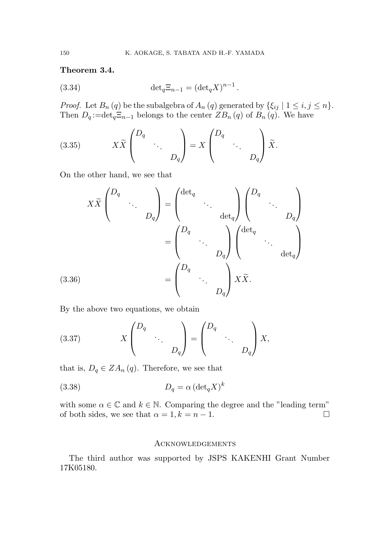# Theorem 3.4.

(3.34) 
$$
\det_q \Xi_{n-1} = (\det_q X)^{n-1}.
$$

*Proof.* Let  $B_n(q)$  be the subalgebra of  $A_n(q)$  generated by  $\{\xi_{ij} \mid 1 \le i, j \le n\}.$ Then  $D_q := det_q \Xi_{n-1}$  belongs to the center  $ZB_n(q)$  of  $B_n(q)$ . We have

(3.35) 
$$
X\widetilde{X}\begin{pmatrix}D_q \\ & \ddots \\ & & D_q\end{pmatrix} = X\begin{pmatrix}D_q \\ & \ddots \\ & & D_q\end{pmatrix}\widetilde{X}.
$$

On the other hand, we see that

$$
X\widetilde{X}\begin{pmatrix}D_q\\&\ddots\\&&D_q\end{pmatrix}=\begin{pmatrix}\det_q\\&\ddots\\&\det_q\end{pmatrix}\begin{pmatrix}D_q&\\&\ddots\\&&D_q\end{pmatrix}\\=\begin{pmatrix}D_q&\\&\ddots\\&&D_q\end{pmatrix}\begin{pmatrix}\det_q\\&\ddots\\&\det_q\end{pmatrix}\\(3.36)\qquad\qquad=\begin{pmatrix}D_q&\\&\ddots\\&&D_q\end{pmatrix}X\widetilde{X}.
$$

By the above two equations, we obtain

(3.37) 
$$
X \begin{pmatrix} D_q & & \\ & \ddots & \\ & & D_q \end{pmatrix} = \begin{pmatrix} D_q & & \\ & \ddots & \\ & & D_q \end{pmatrix} X,
$$

that is,  $D_q \in ZA_n(q)$ . Therefore, we see that

(3.38) 
$$
D_q = \alpha \left( \det_q X \right)^k
$$

with some  $\alpha \in \mathbb{C}$  and  $k \in \mathbb{N}$ . Comparing the degree and the "leading term" of both sides, we see that  $\alpha = 1, k = n - 1$ .

### Acknowledgements

The third author was supported by JSPS KAKENHI Grant Number 17K05180.